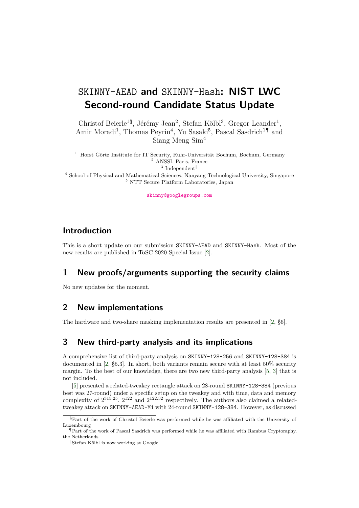# SKINNY-AEAD **and** SKINNY-Hash**: NIST LWC Second-round Candidate Status Update**

Christof Beierle<sup>1§</sup>, Jérémy Jean<sup>2</sup>, Stefan Kölbl<sup>3</sup>, Gregor Leander<sup>1</sup>, Amir Moradi<sup>1</sup>, Thomas Peyrin<sup>4</sup>, Yu Sasaki<sup>5</sup>, Pascal Sasdrich<sup>1¶</sup> and Siang Meng Sim<sup>4</sup>

<sup>1</sup> Horst Görtz Institute for IT Security, Ruhr-Universität Bochum, Bochum, Germany <sup>2</sup> ANSSI, Paris, France  $3$  Independent <sup>4</sup> School of Physical and Mathematical Sciences, Nanyang Technological University, Singapore  $^5$  NTT Secure Platform Laboratories, Japan

[skinny@googlegroups.com](mailto:skinny@googlegroups.com)

# **Introduction**

This is a short update on our submission SKINNY-AEAD and SKINNY-Hash. Most of the new results are published in ToSC 2020 Special Issue [\[2\]](#page-3-0).

### **1 New proofs/arguments supporting the security claims**

No new updates for the moment.

# **2 New implementations**

The hardware and two-share masking implementation results are presented in [\[2,](#page-3-0) §6].

# **3 New third-party analysis and its implications**

A comprehensive list of third-party analysis on SKINNY-128-256 and SKINNY-128-384 is documented in [\[2,](#page-3-0) §5.3]. In short, both variants remain secure with at least 50% security margin. To the best of our knowledge, there are two new third-party analysis [\[5,](#page-3-1) [3\]](#page-3-2) that is not included.

[\[5\]](#page-3-1) presented a related-tweakey rectangle attack on 28-round SKINNY-128-384 (previous best was 27-round) under a specifc setup on the tweakey and with time, data and memory complexity of  $2^{315.25}$ ,  $2^{122}$  and  $2^{122.32}$  respectively. The authors also claimed a relatedtweakey attack on SKINNY-AEAD-M1 with 24-round SKINNY-128-384. However, as discussed

<sup>§</sup>Part of the work of Christof Beierle was performed while he was affiliated with the University of Luxembourg

 $\P$ Part of the work of Pascal Sasdrich was performed while he was affiliated with Rambus Cryptoraphy, the Netherlands

 $\parallel$ Stefan Kölbl is now working at Google.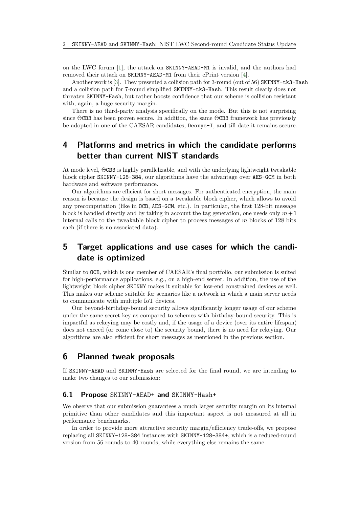on the LWC forum [\[1\]](#page-3-3), the attack on SKINNY-AEAD-M1 is invalid, and the authors had removed their attack on SKINNY-AEAD-M1 from their ePrint version [\[4\]](#page-3-4).

Another work is [\[3\]](#page-3-2). They presented a collision path for 3-round (out of 56) SKINNY-tk3-Hash and a collision path for 7-round simplifed SKINNY-tk3-Hash. This result clearly does not threaten SKINNY-Hash, but rather boosts confdence that our scheme is collision resistant with, again, a huge security margin.

There is no third-party analysis specifcally on the mode. But this is not surprising since  $\Theta$ CB3 has been proven secure. In addition, the same  $\Theta$ CB3 framework has previously be adopted in one of the CAESAR candidates, Deoxys-I, and till date it remains secure.

# **4 Platforms and metrics in which the candidate performs better than current NIST standards**

At mode level,  $\Theta$ CB3 is highly parallelizable, and with the underlying lightweight tweakable block cipher SKINNY-128-384, our algorithms have the advantage over AES-GCM in both hardware and software performance.

Our algorithms are efficient for short messages. For authenticated encryption, the main reason is because the design is based on a tweakable block cipher, which allows to avoid any precomputation (like in OCB, AES-GCM, etc.). In particular, the frst 128-bit message block is handled directly and by taking in account the tag generation, one needs only  $m+1$ internal calls to the tweakable block cipher to process messages of *m* blocks of 128 bits each (if there is no associated data).

# **5 Target applications and use cases for which the candidate is optimized**

Similar to OCB, which is one member of CAESAR's fnal portfolio, our submission is suited for high-performance applications, e.g., on a high-end server. In addition, the use of the lightweight block cipher SKINNY makes it suitable for low-end constrained devices as well. This makes our scheme suitable for scenarios like a network in which a main server needs to communicate with multiple IoT devices.

Our beyond-birthday-bound security allows signifcantly longer usage of our scheme under the same secret key as compared to schemes with birthday-bound security. This is impactful as rekeying may be costly and, if the usage of a device (over its entire lifespan) does not exceed (or come close to) the security bound, there is no need for rekeying. Our algorithms are also efficient for short messages as mentioned in the previous section.

## **6 Planned tweak proposals**

If SKINNY-AEAD and SKINNY-Hash are selected for the fnal round, we are intending to make two changes to our submission:

#### **6.1 Propose** SKINNY-AEAD+ **and** SKINNY-Hash+

We observe that our submission guarantees a much larger security margin on its internal primitive than other candidates and this important aspect is not measured at all in performance benchmarks.

In order to provide more attractive security margin/efficiency trade-offs, we propose replacing all SKINNY-128-384 instances with SKINNY-128-384+, which is a reduced-round version from 56 rounds to 40 rounds, while everything else remains the same.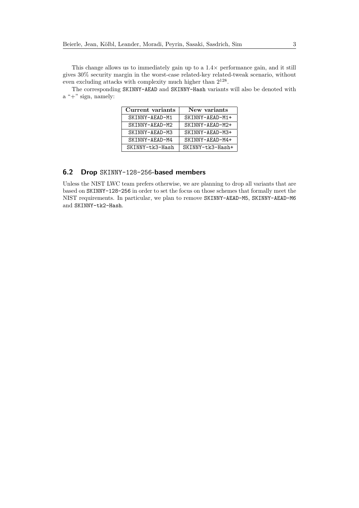This change allows us to immediately gain up to a 1*.*4× performance gain, and it still gives 30% security margin in the worst-case related-key related-tweak scenario, without even excluding attacks with complexity much higher than  $2^{128}\cdot$ 

The corresponding SKINNY-AEAD and SKINNY-Hash variants will also be denoted with a "+" sign, namely:

| Current variants | New variants     |
|------------------|------------------|
| SKINNY-AEAD-M1   | SKINNY-AEAD-M1+  |
| SKINNY-AEAD-M2   | SKINNY-AEAD-M2+  |
| SKINNY-AEAD-M3   | SKINNY-AEAD-M3+  |
| SKINNY-AEAD-M4   | SKINNY-AEAD-M4+  |
| SKINNY-tk3-Hash  | SKINNY-tk3-Hash+ |

#### **6.2 Drop** SKINNY-128-256**-based members**

Unless the NIST LWC team prefers otherwise, we are planning to drop all variants that are based on SKINNY-128-256 in order to set the focus on those schemes that formally meet the NIST requirements. In particular, we plan to remove SKINNY-AEAD-M5, SKINNY-AEAD-M6 and SKINNY-tk2-Hash.